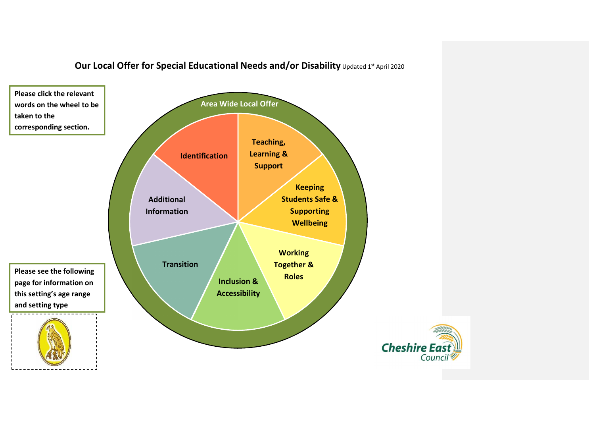

# **Our Local Offer for Special Educational Needs and/or Disability** Updated 1st April 2020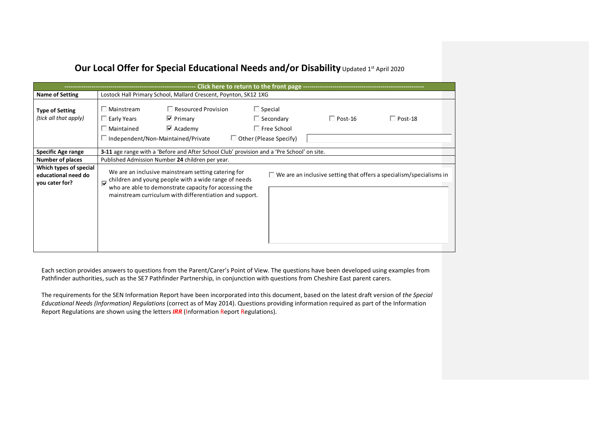# **Our Local Offer for Special Educational Needs and/or Disability** Updated 1st April 2020

|                                                                 |                                                                 |                                                                                                                                                                                                                                  | Click here to return to the front page -------------                                      |                |                                                                            |
|-----------------------------------------------------------------|-----------------------------------------------------------------|----------------------------------------------------------------------------------------------------------------------------------------------------------------------------------------------------------------------------------|-------------------------------------------------------------------------------------------|----------------|----------------------------------------------------------------------------|
| <b>Name of Setting</b>                                          |                                                                 | Lostock Hall Primary School, Mallard Crescent, Poynton, SK12 1XG                                                                                                                                                                 |                                                                                           |                |                                                                            |
| <b>Type of Setting</b><br>(tick all that apply)                 | $\square$ Mainstream<br>$\Box$ Early Years<br>$\Box$ Maintained | $\Box$ Resourced Provision<br>$\triangleright$ Primary<br>$\triangleright$ Academy<br>$\Box$ Independent/Non-Maintained/Private                                                                                                  | $\Box$ Special<br>$\Box$ Secondary<br>$\Box$ Free School<br>$\Box$ Other (Please Specify) | $\Box$ Post-16 | $\Box$ Post-18                                                             |
| Specific Age range                                              |                                                                 | <b>3-11</b> age range with a 'Before and After School Club' provision and a 'Pre School' on site.                                                                                                                                |                                                                                           |                |                                                                            |
| <b>Number of places</b>                                         |                                                                 | Published Admission Number 24 children per year.                                                                                                                                                                                 |                                                                                           |                |                                                                            |
| Which types of special<br>educational need do<br>you cater for? |                                                                 | We are an inclusive mainstream setting catering for<br>children and young people with a wide range of needs<br>who are able to demonstrate capacity for accessing the<br>mainstream curriculum with differentiation and support. |                                                                                           |                | $\Box$ We are an inclusive setting that offers a specialism/specialisms in |

Each section provides answers to questions from the Parent/Carer's Point of View. The questions have been developed using examples from Pathfinder authorities, such as the SE7 Pathfinder Partnership, in conjunction with questions from Cheshire East parent carers.

The requirements for the SEN Information Report have been incorporated into this document, based on the latest draft version of *the Special Educational Needs (Information) Regulations* (correct as of May 2014). Questions providing information required as part of the Information Report Regulations are shown using the letters *IRR* (Information Report Regulations).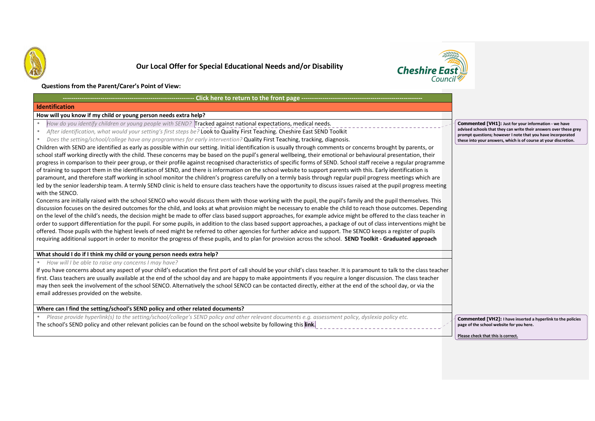



### **Questions from the Parent/Carer's Point of View:**

### **Click here to return to the front page ---**

### **Identification**

### **How will you know if my child or young person needs extra help?**

**---------------------------------------------------------------**

- •*How do you identify children or young people with SEND?* Tracked against national expectations, medical needs.
- •*After identification, what would your setting's first steps be?* Look to Quality First Teaching. Cheshire East SEND Toolkit
- •*Does the setting/school/college have any programmes for early intervention?* Quality First Teaching, tracking, diagnosis.

Children with SEND are identified as early as possible within our setting. Initial identification is usually through comments or concerns brought by parents, or school staff working directly with the child. These concerns may be based on the pupil's general wellbeing, their emotional or behavioural presentation, their progress in comparison to their peer group, or their profile against recognised characteristics of specific forms of SEND. School staff receive a regular programme of training to support them in the identification of SEND, and there is information on the school website to support parents with this. Early identification is paramount, and therefore staff working in school monitor the children's progress carefully on a termly basis through regular pupil progress meetings which are led by the senior leadership team. A termly SEND clinic is held to ensure class teachers have the opportunity to discuss issues raised at the pupil progress meeting with the SENCO.

Concerns are initially raised with the school SENCO who would discuss them with those working with the pupil, the pupil's family and the pupil themselves. This discussion focuses on the desired outcomes for the child, and looks at what provision might be necessary to enable the child to reach those outcomes. Depending on the level of the child's needs, the decision might be made to offer class based support approaches, for example advice might be offered to the class teacher in order to support differentiation for the pupil. For some pupils, in addition to the class based support approaches, a package of out of class interventions might be offered. Those pupils with the highest levels of need might be referred to other agencies for further advice and support. The SENCO keeps a register of pupils requiring additional support in order to monitor the progress of these pupils, and to plan for provision across the school. **SEND Toolkit - Graduated approach**

### **What should I do if I think my child or young person needs extra help?**

•*How will I be able to raise any concerns I may have?* 

If you have concerns about any aspect of your child's education the first port of call should be your child's class teacher. It is paramount to talk to the class teacher first. Class teachers are usually available at the end of the school day and are happy to make appointments if you require a longer discussion. The class teacher may then seek the involvement of the school SENCO. Alternatively the school SENCO can be contacted directly, either at the end of the school day, or via the email addresses provided on the website.

# **Where can I find the setting/school's SEND policy and other related documents?**

• *Please provide hyperlink(s) to the setting/school/college's SEND policy and other relevant documents e.g. assessment policy, dyslexia policy etc.*  The school's SEND policy and other relevant policies can be found on the school website by following this **link**.

**Commented [VH2]: I have inserted a hyperlink to the policies page of the school website for you here.** 

**Please check that this is correct.** 

**Commented [VH1]: Just for your information - we have advised schools that they can write their answers over these grey prompt questions; however I note that you have incorporated these into your answers, which is of course at your discretion.**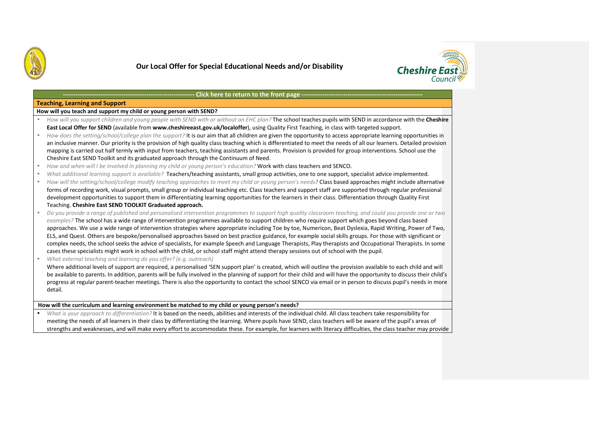



# **- Click here to return to the front page ---**

## **Teaching, Learning and Support**

**How will you teach and support my child or young person with SEND?** 

| How will you support children and young people with SEND with or without an EHC plan? The school teaches pupils with SEND in accordance with the Cheshire<br>East Local Offer for SEND (available from www.cheshireeast.gov.uk/localoffer), using Quality First Teaching, in class with targeted support.<br>How does the setting/school/college plan the support? It is our aim that all children are given the opportunity to access appropriate learning opportunities in<br>an inclusive manner. Our priority is the provision of high quality class teaching which is differentiated to meet the needs of all our learners. Detailed provision<br>mapping is carried out half termly with input from teachers, teaching assistants and parents. Provision is provided for group interventions. School use the<br>Cheshire East SEND Toolkit and its graduated approach through the Continuum of Need.<br>How and when will I be involved in planning my child or young person's education? Work with class teachers and SENCO.<br>What additional learning support is available? Teachers/teaching assistants, small group activities, one to one support, specialist advice implemented.<br>How will the setting/school/college modify teaching approaches to meet my child or young person's needs? Class based approaches might include alternative<br>forms of recording work, visual prompts, small group or individual teaching etc. Class teachers and support staff are supported through regular professional |
|-----------------------------------------------------------------------------------------------------------------------------------------------------------------------------------------------------------------------------------------------------------------------------------------------------------------------------------------------------------------------------------------------------------------------------------------------------------------------------------------------------------------------------------------------------------------------------------------------------------------------------------------------------------------------------------------------------------------------------------------------------------------------------------------------------------------------------------------------------------------------------------------------------------------------------------------------------------------------------------------------------------------------------------------------------------------------------------------------------------------------------------------------------------------------------------------------------------------------------------------------------------------------------------------------------------------------------------------------------------------------------------------------------------------------------------------------------------------------------------------------------------------------------|
|                                                                                                                                                                                                                                                                                                                                                                                                                                                                                                                                                                                                                                                                                                                                                                                                                                                                                                                                                                                                                                                                                                                                                                                                                                                                                                                                                                                                                                                                                                                             |
|                                                                                                                                                                                                                                                                                                                                                                                                                                                                                                                                                                                                                                                                                                                                                                                                                                                                                                                                                                                                                                                                                                                                                                                                                                                                                                                                                                                                                                                                                                                             |
|                                                                                                                                                                                                                                                                                                                                                                                                                                                                                                                                                                                                                                                                                                                                                                                                                                                                                                                                                                                                                                                                                                                                                                                                                                                                                                                                                                                                                                                                                                                             |
|                                                                                                                                                                                                                                                                                                                                                                                                                                                                                                                                                                                                                                                                                                                                                                                                                                                                                                                                                                                                                                                                                                                                                                                                                                                                                                                                                                                                                                                                                                                             |
|                                                                                                                                                                                                                                                                                                                                                                                                                                                                                                                                                                                                                                                                                                                                                                                                                                                                                                                                                                                                                                                                                                                                                                                                                                                                                                                                                                                                                                                                                                                             |
|                                                                                                                                                                                                                                                                                                                                                                                                                                                                                                                                                                                                                                                                                                                                                                                                                                                                                                                                                                                                                                                                                                                                                                                                                                                                                                                                                                                                                                                                                                                             |
|                                                                                                                                                                                                                                                                                                                                                                                                                                                                                                                                                                                                                                                                                                                                                                                                                                                                                                                                                                                                                                                                                                                                                                                                                                                                                                                                                                                                                                                                                                                             |
|                                                                                                                                                                                                                                                                                                                                                                                                                                                                                                                                                                                                                                                                                                                                                                                                                                                                                                                                                                                                                                                                                                                                                                                                                                                                                                                                                                                                                                                                                                                             |
|                                                                                                                                                                                                                                                                                                                                                                                                                                                                                                                                                                                                                                                                                                                                                                                                                                                                                                                                                                                                                                                                                                                                                                                                                                                                                                                                                                                                                                                                                                                             |
|                                                                                                                                                                                                                                                                                                                                                                                                                                                                                                                                                                                                                                                                                                                                                                                                                                                                                                                                                                                                                                                                                                                                                                                                                                                                                                                                                                                                                                                                                                                             |
| development opportunities to support them in differentiating learning opportunities for the learners in their class. Differentiation through Quality First                                                                                                                                                                                                                                                                                                                                                                                                                                                                                                                                                                                                                                                                                                                                                                                                                                                                                                                                                                                                                                                                                                                                                                                                                                                                                                                                                                  |
| Teaching. Cheshire East SEND TOOLKIT Graduated approach.                                                                                                                                                                                                                                                                                                                                                                                                                                                                                                                                                                                                                                                                                                                                                                                                                                                                                                                                                                                                                                                                                                                                                                                                                                                                                                                                                                                                                                                                    |
| Do you provide a range of published and personalised intervention programmes to support high quality classroom teaching, and could you provide one or two                                                                                                                                                                                                                                                                                                                                                                                                                                                                                                                                                                                                                                                                                                                                                                                                                                                                                                                                                                                                                                                                                                                                                                                                                                                                                                                                                                   |
| examples? The school has a wide range of intervention programmes available to support children who require support which goes beyond class based                                                                                                                                                                                                                                                                                                                                                                                                                                                                                                                                                                                                                                                                                                                                                                                                                                                                                                                                                                                                                                                                                                                                                                                                                                                                                                                                                                            |
| approaches. We use a wide range of intervention strategies where appropriate including Toe by toe, Numericon, Beat Dyslexia, Rapid Writing, Power of Two,                                                                                                                                                                                                                                                                                                                                                                                                                                                                                                                                                                                                                                                                                                                                                                                                                                                                                                                                                                                                                                                                                                                                                                                                                                                                                                                                                                   |
| ELS, and Quest. Others are bespoke/personalised approaches based on best practice guidance, for example social skills groups. For those with significant or                                                                                                                                                                                                                                                                                                                                                                                                                                                                                                                                                                                                                                                                                                                                                                                                                                                                                                                                                                                                                                                                                                                                                                                                                                                                                                                                                                 |
| complex needs, the school seeks the advice of specialists, for example Speech and Language Therapists, Play therapists and Occupational Therapists. In some                                                                                                                                                                                                                                                                                                                                                                                                                                                                                                                                                                                                                                                                                                                                                                                                                                                                                                                                                                                                                                                                                                                                                                                                                                                                                                                                                                 |
| cases these specialists might work in school with the child, or school staff might attend therapy sessions out of school with the pupil.                                                                                                                                                                                                                                                                                                                                                                                                                                                                                                                                                                                                                                                                                                                                                                                                                                                                                                                                                                                                                                                                                                                                                                                                                                                                                                                                                                                    |
| What external teaching and learning do you offer? (e.g. outreach)                                                                                                                                                                                                                                                                                                                                                                                                                                                                                                                                                                                                                                                                                                                                                                                                                                                                                                                                                                                                                                                                                                                                                                                                                                                                                                                                                                                                                                                           |
| Where additional levels of support are required, a personalised 'SEN support plan' is created, which will outline the provision available to each child and will                                                                                                                                                                                                                                                                                                                                                                                                                                                                                                                                                                                                                                                                                                                                                                                                                                                                                                                                                                                                                                                                                                                                                                                                                                                                                                                                                            |
| be available to parents. In addition, parents will be fully involved in the planning of support for their child and will have the opportunity to discuss their child's                                                                                                                                                                                                                                                                                                                                                                                                                                                                                                                                                                                                                                                                                                                                                                                                                                                                                                                                                                                                                                                                                                                                                                                                                                                                                                                                                      |
| progress at regular parent-teacher meetings. There is also the opportunity to contact the school SENCO via email or in person to discuss pupil's needs in more                                                                                                                                                                                                                                                                                                                                                                                                                                                                                                                                                                                                                                                                                                                                                                                                                                                                                                                                                                                                                                                                                                                                                                                                                                                                                                                                                              |
| detail.                                                                                                                                                                                                                                                                                                                                                                                                                                                                                                                                                                                                                                                                                                                                                                                                                                                                                                                                                                                                                                                                                                                                                                                                                                                                                                                                                                                                                                                                                                                     |
|                                                                                                                                                                                                                                                                                                                                                                                                                                                                                                                                                                                                                                                                                                                                                                                                                                                                                                                                                                                                                                                                                                                                                                                                                                                                                                                                                                                                                                                                                                                             |

 *What is your approach to differentiation?* It is based on the needs, abilities and interests of the individual child. All class teachers take responsibility for •meeting the needs of all learners in their class by differentiating the learning. Where pupils have SEND, class teachers will be aware of the pupil's areas of strengths and weaknesses, and will make every effort to accommodate these. For example, for learners with literacy difficulties, the class teacher may provide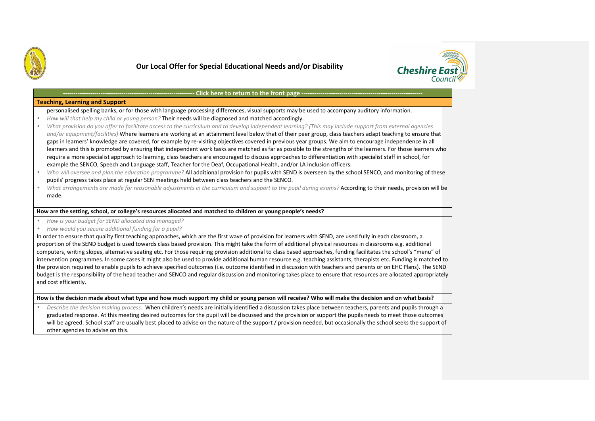



### Click here to return to the front page -

### **Teaching, Learning and Support**

personalised spelling banks, or for those with language processing differences, visual supports may be used to accompany auditory information.

- •*How will that help my child or young person?* Their needs will be diagnosed and matched accordingly.
- • *What provision do you offer to facilitate access to the curriculum and to develop independent learning? (This may include support from external agencies and/or equipment/facilities)* Where learners are working at an attainment level below that of their peer group, class teachers adapt teaching to ensure that gaps in learners' knowledge are covered, for example by re-visiting objectives covered in previous year groups. We aim to encourage independence in all learners and this is promoted by ensuring that independent work tasks are matched as far as possible to the strengths of the learners. For those learners who require a more specialist approach to learning, class teachers are encouraged to discuss approaches to differentiation with specialist staff in school, for example the SENCO, Speech and Language staff, Teacher for the Deaf, Occupational Health, and/or LA Inclusion officers.
- •*Who will oversee and plan the education programme?* All additional provision for pupils with SEND is overseen by the school SENCO, and monitoring of these pupils' progress takes place at regular SEN meetings held between class teachers and the SENCO.
- •*What arrangements are made for reasonable adjustments in the curriculum and support to the pupil during exams?* According to their needs, provision will be made.

### **How are the setting, school, or college's resources allocated and matched to children or young people's needs?**

- $\bullet$ *How is your budget for SEND allocated and managed?*
- •*How would you secure additional funding for a pupil?*

In order to ensure that quality first teaching approaches, which are the first wave of provision for learners with SEND, are used fully in each classroom, a proportion of the SEND budget is used towards class based provision. This might take the form of additional physical resources in classrooms e.g. additional computers, writing slopes, alternative seating etc. For those requiring provision additional to class based approaches, funding facilitates the school's "menu" of intervention programmes. In some cases it might also be used to provide additional human resource e.g. teaching assistants, therapists etc. Funding is matched to the provision required to enable pupils to achieve specified outcomes (i.e. outcome identified in discussion with teachers and parents or on EHC Plans). The SEND budget is the responsibility of the head teacher and SENCO and regular discussion and monitoring takes place to ensure that resources are allocated appropriately and cost efficiently.

### **How is the decision made about what type and how much support my child or young person will receive? Who will make the decision and on what basis?**

• *Describe the decision making process.* When children's needs are initially identified a discussion takes place between teachers, parents and pupils through a graduated response. At this meeting desired outcomes for the pupil will be discussed and the provision or support the pupils needs to meet those outcomeswill be agreed. School staff are usually best placed to advise on the nature of the support / provision needed, but occasionally the school seeks the support of other agencies to advise on this.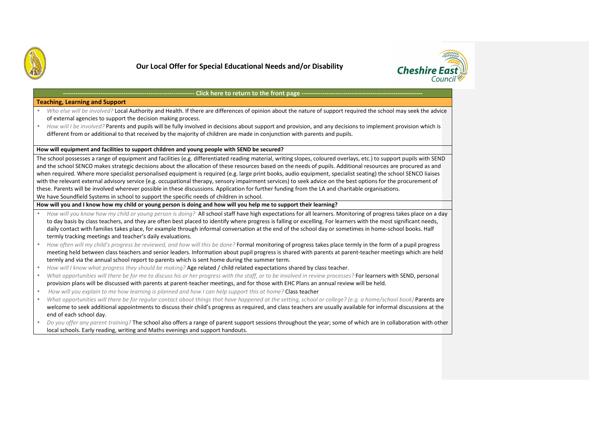



### Click here to return to the front page --

### **Teaching, Learning and Support**

- • *Who else will be involved?* Local Authority and Health. If there are differences of opinion about the nature of support required the school may seek the advice of external agencies to support the decision making process.
- *How will I be involved?* Parents and pupils will be fully involved in decisions about support and provision, and any decisions to implement provision which is •different from or additional to that received by the majority of children are made in conjunction with parents and pupils.

### **How will equipment and facilities to support children and young people with SEND be secured?**

The school possesses a range of equipment and facilities (e.g. differentiated reading material, writing slopes, coloured overlays, etc.) to support pupils with SEND and the school SENCO makes strategic decisions about the allocation of these resources based on the needs of pupils. Additional resources are procured as and when required. Where more specialist personalised equipment is required (e.g. large print books, audio equipment, specialist seating) the school SENCO liaises with the relevant external advisory service (e.g. occupational therapy, sensory impairment services) to seek advice on the best options for the procurement of these. Parents will be involved wherever possible in these discussions. Application for further funding from the LA and charitable organisations.

We have Soundfield Systems in school to support the specific needs of children in school.

**How will you and I know how my child or young person is doing and how will you help me to support their learning?** 

- • *How will you know how my child or young person is doing?* All school staff have high expectations for all learners. Monitoring of progress takes place on a day to day basis by class teachers, and they are often best placed to identify where progress is falling or excelling. For learners with the most significant needs, daily contact with families takes place, for example through informal conversation at the end of the school day or sometimes in home-school books. Half termly tracking meetings and teacher's daily evaluations.
- • *How often will my child's progress be reviewed, and how will this be done?* Formal monitoring of progress takes place termly in the form of a pupil progress meeting held between class teachers and senior leaders. Information about pupil progress is shared with parents at parent-teacher meetings which are heldtermly and via the annual school report to parents which is sent home during the summer term.
- •*How will I know what progress they should be making?* Age related / child related expectations shared by class teacher.
- • *What opportunities will there be for me to discuss his or her progress with the staff, or to be involved in review processes?* For learners with SEND, personal provision plans will be discussed with parents at parent-teacher meetings, and for those with EHC Plans an annual review will be held.
- •*How will you explain to me how learning is planned and how I can help support this at home?* Class teacher
- •*What opportunities will there be for regular contact about things that have happened at the setting, school or college? (e.g. a home/school book) Parents are* welcome to seek additional appointments to discuss their child's progress as required, and class teachers are usually available for informal discussions at the end of each school day.
- • *Do you offer any parent training?* The school also offers a range of parent support sessions throughout the year; some of which are in collaboration with other local schools. Early reading, writing and Maths evenings and support handouts.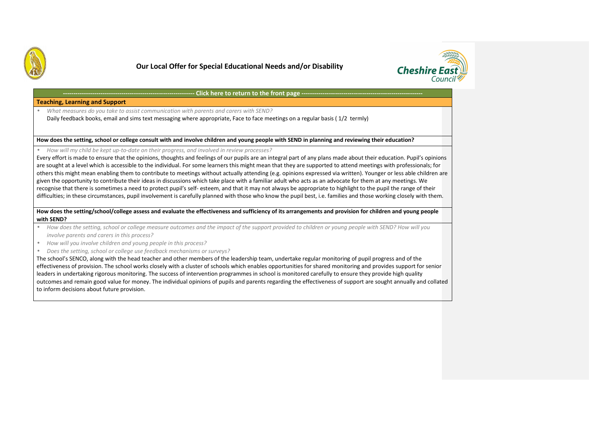



### Click here to return to the front page --

**Teaching, Learning and Support** 

• *What measures do you take to assist communication with parents and carers with SEND?*  Daily feedback books, email and sims text messaging where appropriate, Face to face meetings on a regular basis ( 1/2 termly)

**How does the setting, school or college consult with and involve children and young people with SEND in planning and reviewing their education?** 

•*How will my child be kept up-to-date on their progress, and involved in review processes?*

 Every effort is made to ensure that the opinions, thoughts and feelings of our pupils are an integral part of any plans made about their education. Pupil's opinions are sought at a level which is accessible to the individual. For some learners this might mean that they are supported to attend meetings with professionals; for others this might mean enabling them to contribute to meetings without actually attending (e.g. opinions expressed via written). Younger or less able children are given the opportunity to contribute their ideas in discussions which take place with a familiar adult who acts as an advocate for them at any meetings. We recognise that there is sometimes a need to protect pupil's self- esteem, and that it may not always be appropriate to highlight to the pupil the range of their difficulties; in these circumstances, pupil involvement is carefully planned with those who know the pupil best, i.e. families and those working closely with them.

**How does the setting/school/college assess and evaluate the effectiveness and sufficiency of its arrangements and provision for children and young peoplewith SEND?** 

- • *How does the setting, school or college measure outcomes and the impact of the support provided to children or young people with SEND? How will you involve parents and carers in this process?*
- *How will you involve children and young people in this process?*  •
- •*Does the setting, school or college use feedback mechanisms or surveys?*

The school's SENCO, along with the head teacher and other members of the leadership team, undertake regular monitoring of pupil progress and of the effectiveness of provision. The school works closely with a cluster of schools which enables opportunities for shared monitoring and provides support for senior leaders in undertaking rigorous monitoring. The success of intervention programmes in school is monitored carefully to ensure they provide high quality outcomes and remain good value for money. The individual opinions of pupils and parents regarding the effectiveness of support are sought annually and collated to inform decisions about future provision.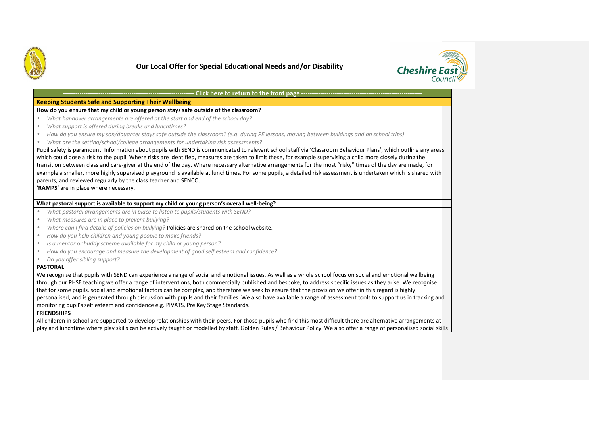



#### **---------------------------------------------------------------Click here to return to the front page ----**

# **Keeping Students Safe and Supporting Their Wellbeing**

### **How do you ensure that my child or young person stays safe outside of the classroom?**

- •*What handover arrangements are offered at the start and end of the school day?*
- •*What support is offered during breaks and lunchtimes?*
- •*How do you ensure my son/daughter stays safe outside the classroom? (e.g. during PE lessons, moving between buildings and on school trips)*
- •*What are the setting/school/college arrangements for undertaking risk assessments?*

 Pupil safety is paramount. Information about pupils with SEND is communicated to relevant school staff via 'Classroom Behaviour Plans', which outline any areas which could pose a risk to the pupil. Where risks are identified, measures are taken to limit these, for example supervising a child more closely during the transition between class and care-giver at the end of the day. Where necessary alternative arrangements for the most "risky" times of the day are made, for example a smaller, more highly supervised playground is available at lunchtimes. For some pupils, a detailed risk assessment is undertaken which is shared with parents, and reviewed regularly by the class teacher and SENCO.

**'RAMPS'** are in place where necessary.

### **What pastoral support is available to support my child or young person's overall well-being?**

- •*What pastoral arrangements are in place to listen to pupils/students with SEND?*
- •*What measures are in place to prevent bullying?*
- •*Where can I find details of policies on bullying?* Policies are shared on the school website.
- •*How do you help children and young people to make friends?*
- •*Is a mentor or buddy scheme available for my child or young person?*
- •*How do you encourage and measure the development of good self esteem and confidence?*
- •*Do you offer sibling support?*

### **PASTORAL**

We recognise that pupils with SEND can experience a range of social and emotional issues. As well as a whole school focus on social and emotional wellbeing through our PHSE teaching we offer a range of interventions, both commercially published and bespoke, to address specific issues as they arise. We recognise that for some pupils, social and emotional factors can be complex, and therefore we seek to ensure that the provision we offer in this regard is highly personalised, and is generated through discussion with pupils and their families. We also have available a range of assessment tools to support us in tracking and monitoring pupil's self esteem and confidence e.g. PIVATS, Pre Key Stage Standards.

### **FRIENDSHIPS**

All children in school are supported to develop relationships with their peers. For those pupils who find this most difficult there are alternative arrangements at play and lunchtime where play skills can be actively taught or modelled by staff. Golden Rules / Behaviour Policy. We also offer a range of personalised social skills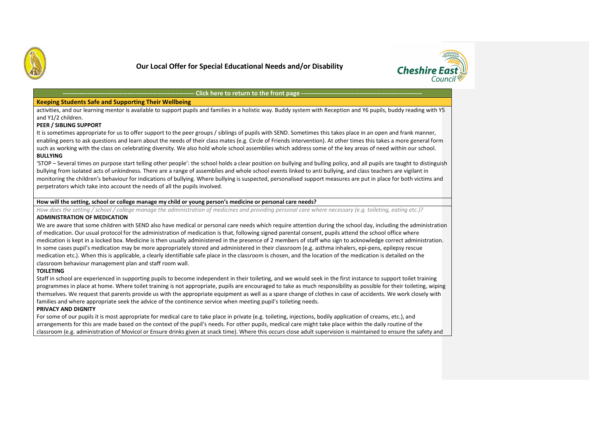



#### **---------------------------------------------------------------Click here to return to the front page ---**

# **Keeping Students Safe and Supporting Their Wellbeing**

activities, and our learning mentor is available to support pupils and families in a holistic way. Buddy system with Reception and Y6 pupils, buddy reading with Y5 and Y1/2 children.

### **PEER / SIBLING SUPPORT**

It is sometimes appropriate for us to offer support to the peer groups / siblings of pupils with SEND. Sometimes this takes place in an open and frank manner, enabling peers to ask questions and learn about the needs of their class mates (e.g. Circle of Friends intervention). At other times this takes a more general form such as working with the class on celebrating diversity. We also hold whole school assemblies which address some of the key areas of need within our school. **BULLYING** 

'STOP – Several times on purpose start telling other people': the school holds a clear position on bullying and bulling policy, and all pupils are taught to distinguish bullying from isolated acts of unkindness. There are a range of assemblies and whole school events linked to anti bullying, and class teachers are vigilant in monitoring the children's behaviour for indications of bullying. Where bullying is suspected, personalised support measures are put in place for both victims and perpetrators which take into account the needs of all the pupils involved.

### **How will the setting, school or college manage my child or young person's medicine or personal care needs?**

*How does the setting / school / college manage the administration of medicines and providing personal care where necessary (e.g. toileting, eating etc.)?***ADMINISTRATION OF MEDICATION** 

We are aware that some children with SEND also have medical or personal care needs which require attention during the school day, including the administration of medication. Our usual protocol for the administration of medication is that, following signed parental consent, pupils attend the school office where medication is kept in a locked box. Medicine is then usually administered in the presence of 2 members of staff who sign to acknowledge correct administration. In some cases pupil's medication may be more appropriately stored and administered in their classroom (e.g. asthma inhalers, epi-pens, epilepsy rescue medication etc.). When this is applicable, a clearly identifiable safe place in the classroom is chosen, and the location of the medication is detailed on the classroom behaviour management plan and staff room wall.

### **TOILETING**

Staff in school are experienced in supporting pupils to become independent in their toileting, and we would seek in the first instance to support toilet training programmes in place at home. Where toilet training is not appropriate, pupils are encouraged to take as much responsibility as possible for their toileting, wiping themselves. We request that parents provide us with the appropriate equipment as well as a spare change of clothes in case of accidents. We work closely with families and where appropriate seek the advice of the continence service when meeting pupil's toileting needs.

### **PRIVACY AND DIGNITY**

For some of our pupils it is most appropriate for medical care to take place in private (e.g. toileting, injections, bodily application of creams, etc.), and arrangements for this are made based on the context of the pupil's needs. For other pupils, medical care might take place within the daily routine of theclassroom (e.g. administration of Movicol or Ensure drinks given at snack time). Where this occurs close adult supervision is maintained to ensure the safety and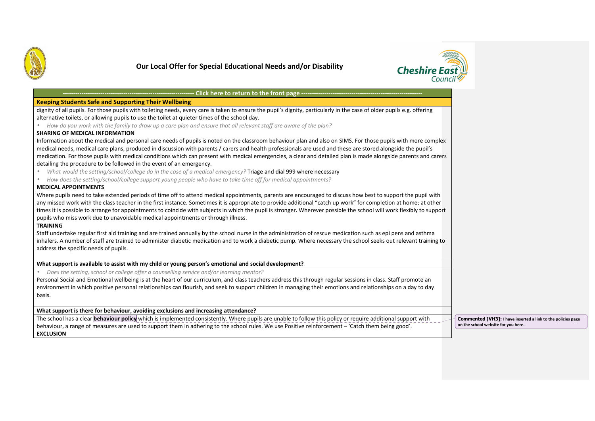



| <b>Keeping Students Safe and Supporting Their Wellbeing</b>                                                                                                                                                                                                                                                                                                                                                                                                                                                                                                                                                     |                                                                                                     |
|-----------------------------------------------------------------------------------------------------------------------------------------------------------------------------------------------------------------------------------------------------------------------------------------------------------------------------------------------------------------------------------------------------------------------------------------------------------------------------------------------------------------------------------------------------------------------------------------------------------------|-----------------------------------------------------------------------------------------------------|
| dignity of all pupils. For those pupils with toileting needs, every care is taken to ensure the pupil's dignity, particularly in the case of older pupils e.g. offering                                                                                                                                                                                                                                                                                                                                                                                                                                         |                                                                                                     |
| alternative toilets, or allowing pupils to use the toilet at quieter times of the school day.                                                                                                                                                                                                                                                                                                                                                                                                                                                                                                                   |                                                                                                     |
| How do you work with the family to draw up a care plan and ensure that all relevant staff are aware of the plan?<br><b>SHARING OF MEDICAL INFORMATION</b>                                                                                                                                                                                                                                                                                                                                                                                                                                                       |                                                                                                     |
| Information about the medical and personal care needs of pupils is noted on the classroom behaviour plan and also on SIMS. For those pupils with more complex                                                                                                                                                                                                                                                                                                                                                                                                                                                   |                                                                                                     |
| medical needs, medical care plans, produced in discussion with parents / carers and health professionals are used and these are stored alongside the pupil's                                                                                                                                                                                                                                                                                                                                                                                                                                                    |                                                                                                     |
| medication. For those pupils with medical conditions which can present with medical emergencies, a clear and detailed plan is made alongside parents and carers<br>detailing the procedure to be followed in the event of an emergency.                                                                                                                                                                                                                                                                                                                                                                         |                                                                                                     |
| What would the setting/school/college do in the case of a medical emergency? Triage and dial 999 where necessary                                                                                                                                                                                                                                                                                                                                                                                                                                                                                                |                                                                                                     |
| How does the setting/school/college support young people who have to take time off for medical appointments?<br>$\bullet$                                                                                                                                                                                                                                                                                                                                                                                                                                                                                       |                                                                                                     |
| <b>MEDICAL APPOINTMENTS</b>                                                                                                                                                                                                                                                                                                                                                                                                                                                                                                                                                                                     |                                                                                                     |
| Where pupils need to take extended periods of time off to attend medical appointments, parents are encouraged to discuss how best to support the pupil with<br>any missed work with the class teacher in the first instance. Sometimes it is appropriate to provide additional "catch up work" for completion at home; at other<br>times it is possible to arrange for appointments to coincide with subjects in which the pupil is stronger. Wherever possible the school will work flexibly to support<br>pupils who miss work due to unavoidable medical appointments or through illness.<br><b>TRAINING</b> |                                                                                                     |
| Staff undertake regular first aid training and are trained annually by the school nurse in the administration of rescue medication such as epi pens and asthma<br>inhalers. A number of staff are trained to administer diabetic medication and to work a diabetic pump. Where necessary the school seeks out relevant training to<br>address the specific needs of pupils.                                                                                                                                                                                                                                     |                                                                                                     |
| What support is available to assist with my child or young person's emotional and social development?                                                                                                                                                                                                                                                                                                                                                                                                                                                                                                           |                                                                                                     |
| Does the setting, school or college offer a counselling service and/or learning mentor?<br>$\bullet$                                                                                                                                                                                                                                                                                                                                                                                                                                                                                                            |                                                                                                     |
| Personal Social and Emotional wellbeing is at the heart of our curriculum, and class teachers address this through regular sessions in class. Staff promote an<br>environment in which positive personal relationships can flourish, and seek to support children in managing their emotions and relationships on a day to day                                                                                                                                                                                                                                                                                  |                                                                                                     |
| basis.                                                                                                                                                                                                                                                                                                                                                                                                                                                                                                                                                                                                          |                                                                                                     |
| What support is there for behaviour, avoiding exclusions and increasing attendance?                                                                                                                                                                                                                                                                                                                                                                                                                                                                                                                             |                                                                                                     |
| The school has a clear behaviour policy which is implemented consistently. Where pupils are unable to follow this policy or require additional support with<br>behaviour, a range of measures are used to support them in adhering to the school rules. We use Positive reinforcement - 'Catch them being good'.<br><b>EXCLUSION</b>                                                                                                                                                                                                                                                                            | Commented [VH3]: I have inserted a link to the policies page<br>on the school website for you here. |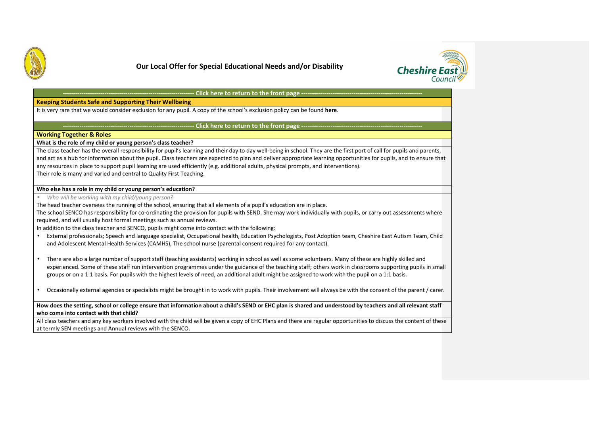



#### **---------------------------------------------------------------**Click here to return to the front page -------

# **Keeping Students Safe and Supporting Their Wellbeing**

It is very rare that we would consider exclusion for any pupil. A copy of the school's exclusion policy can be found **here**.

### Click here to return to the front page ---

### **Working Together & Roles**

**What is the role of my child or young person's class teacher?** 

The class teacher has the overall responsibility for pupil's learning and their day to day well-being in school. They are the first port of call for pupils and parents, and act as a hub for information about the pupil. Class teachers are expected to plan and deliver appropriate learning opportunities for pupils, and to ensure that any resources in place to support pupil learning are used efficiently (e.g. additional adults, physical prompts, and interventions). Their role is many and varied and central to Quality First Teaching.

### **Who else has a role in my child or young person's education?**

• *Who will be working with my child/young person?* 

The head teacher oversees the running of the school, ensuring that all elements of a pupil's education are in place.

The school SENCO has responsibility for co-ordinating the provision for pupils with SEND. She may work individually with pupils, or carry out assessments where required, and will usually host formal meetings such as annual reviews.

In addition to the class teacher and SENCO, pupils might come into contact with the following:

- External professionals; Speech and language specialist, Occupational health, Education Psychologists, Post Adoption team, Cheshire East Autism Team, Child and Adolescent Mental Health Services (CAMHS), The school nurse (parental consent required for any contact).
- • There are also a large number of support staff (teaching assistants) working in school as well as some volunteers. Many of these are highly skilled and experienced. Some of these staff run intervention programmes under the guidance of the teaching staff; others work in classrooms supporting pupils in small groups or on a 1:1 basis. For pupils with the highest levels of need, an additional adult might be assigned to work with the pupil on a 1:1 basis.
- •Occasionally external agencies or specialists might be brought in to work with pupils. Their involvement will always be with the consent of the parent / carer.

### **How does the setting, school or college ensure that information about a child's SEND or EHC plan is shared and understood by teachers and all relevant staff who come into contact with that child?**

All class teachers and any key workers involved with the child will be given a copy of EHC Plans and there are regular opportunities to discuss the content of these at termly SEN meetings and Annual reviews with the SENCO.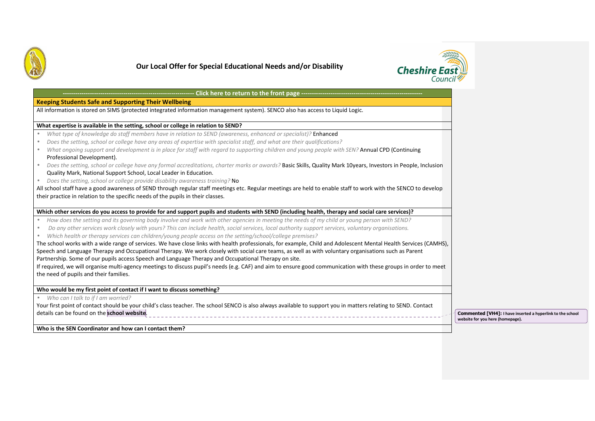



| - Click here to return to the front page ----------------------                                                                                                              |
|------------------------------------------------------------------------------------------------------------------------------------------------------------------------------|
| <b>Keeping Students Safe and Supporting Their Wellbeing</b>                                                                                                                  |
| All information is stored on SIMS (protected integrated information management system). SENCO also has access to Liquid Logic.                                               |
|                                                                                                                                                                              |
| What expertise is available in the setting, school or college in relation to SEND?                                                                                           |
| What type of knowledge do staff members have in relation to SEND (awareness, enhanced or specialist)? Enhanced<br>$\bullet$                                                  |
| Does the setting, school or college have any areas of expertise with specialist staff, and what are their qualifications?<br>$\bullet$                                       |
| What ongoing support and development is in place for staff with regard to supporting children and young people with SEN? Annual CPD (Continuing<br>$\bullet$                 |
| Professional Development).                                                                                                                                                   |
| Does the setting, school or college have any formal accreditations, charter marks or awards? Basic Skills, Quality Mark 10years, Investors in People, Inclusion<br>$\bullet$ |
| Quality Mark, National Support School, Local Leader in Education.                                                                                                            |
| Does the setting, school or college provide disability awareness training? No<br>$\bullet$                                                                                   |
| All school staff have a good awareness of SEND through regular staff meetings etc. Regular meetings are held to enable staff to work with the SENCO to develop               |
| their practice in relation to the specific needs of the pupils in their classes.                                                                                             |
|                                                                                                                                                                              |
| Which other services do you access to provide for and support pupils and students with SEND (including health, therapy and social care services)?                            |
| How does the setting and its governing body involve and work with other agencies in meeting the needs of my child or young person with SEND?<br>$\bullet$                    |
| Do any other services work closely with yours? This can include health, social services, local authority support services, voluntary organisations.<br>$\bullet$             |
| Which health or therapy services can children/young people access on the setting/school/college premises?<br>$\bullet$                                                       |
| The school works with a wide range of services. We have close links with health professionals, for example, Child and Adolescent Mental Health Services (CAMHS),             |
| Speech and Language Therapy and Occupational Therapy. We work closely with social care teams, as well as with voluntary organisations such as Parent                         |
| Partnership. Some of our pupils access Speech and Language Therapy and Occupational Therapy on site.                                                                         |
| If required, we will organise multi-agency meetings to discuss pupil's needs (e.g. CAF) and aim to ensure good communication with these groups in order to meet              |
| the need of pupils and their families.                                                                                                                                       |
|                                                                                                                                                                              |
| Who would be my first point of contact if I want to discuss something?                                                                                                       |
| Who can I talk to if I am worried?<br>$\bullet$                                                                                                                              |
| Your first point of contact should be your child's class teacher. The school SENCO is also always available to support you in matters relating to SEND. Contact              |
| details can be found on the school website.                                                                                                                                  |
|                                                                                                                                                                              |

**Commented [VH4]: I have inserted a hyperlink to the school website for you here (homepage).** 

**Who is the SEN Coordinator and how can I contact them?**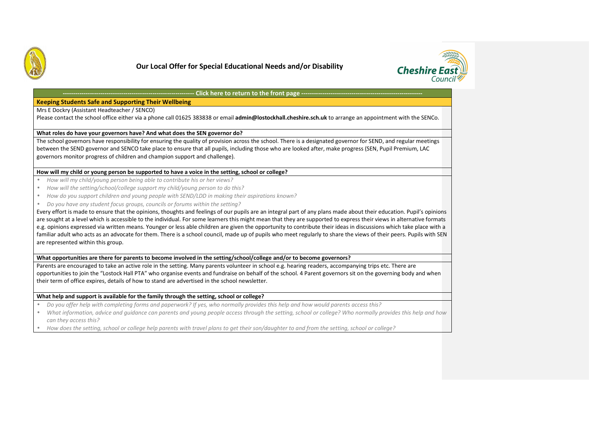



#### **---------------------------------------------------------------Click here to return to the front page ----**

# **Keeping Students Safe and Supporting Their Wellbeing**

Mrs E Dockry (Assistant Headteacher / SENCO)

Please contact the school office either via a phone call 01625 383838 or email **admin@lostockhall.cheshire.sch.uk** to arrange an appointment with the SENCo.

### **What roles do have your governors have? And what does the SEN governor do?**

 The school governors have responsibility for ensuring the quality of provision across the school. There is a designated governor for SEND, and regular meetings between the SEND governor and SENCO take place to ensure that all pupils, including those who are looked after, make progress (SEN, Pupil Premium, LAC governors monitor progress of children and champion support and challenge).

### **How will my child or young person be supported to have a voice in the setting, school or college?**

- •*How will my child/young person being able to contribute his or her views?*
- •*How will the setting/school/college support my child/young person to do this?*
- •*How do you support children and young people with SEND/LDD in making their aspirations known?*
- •*Do you have any student focus groups, councils or forums within the setting?*

Every effort is made to ensure that the opinions, thoughts and feelings of our pupils are an integral part of any plans made about their education. Pupil's opinions are sought at a level which is accessible to the individual. For some learners this might mean that they are supported to express their views in alternative formats e.g. opinions expressed via written means. Younger or less able children are given the opportunity to contribute their ideas in discussions which take place with a familiar adult who acts as an advocate for them. There is a school council, made up of pupils who meet regularly to share the views of their peers. Pupils with SEN are represented within this group.

### **What opportunities are there for parents to become involved in the setting/school/college and/or to become governors?**

 Parents are encouraged to take an active role in the setting. Many parents volunteer in school e.g. hearing readers, accompanying trips etc. There are opportunities to join the "Lostock Hall PTA" who organise events and fundraise on behalf of the school. 4 Parent governors sit on the governing body and when their term of office expires, details of how to stand are advertised in the school newsletter.

### **What help and support is available for the family through the setting, school or college?**

- *Do you offer help with completing forms and paperwork? If yes, who normally provides this help and how would parents access this?*  •
- $\bullet$  *What information, advice and guidance can parents and young people access through the setting, school or college? Who normally provides this help and howcan they access this?*
- •*How does the setting, school or college help parents with travel plans to get their son/daughter to and from the setting, school or college?*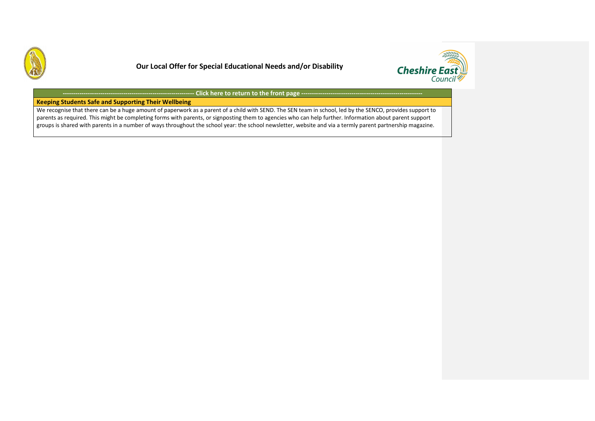



**---------------------------------------------------------------Click here to return to the front page ------**

# **Keeping Students Safe and Supporting Their Wellbeing**

We recognise that there can be a huge amount of paperwork as a parent of a child with SEND. The SEN team in school, led by the SENCO, provides support to parents as required. This might be completing forms with parents, or signposting them to agencies who can help further. Information about parent support groups is shared with parents in a number of ways throughout the school year: the school newsletter, website and via a termly parent partnership magazine.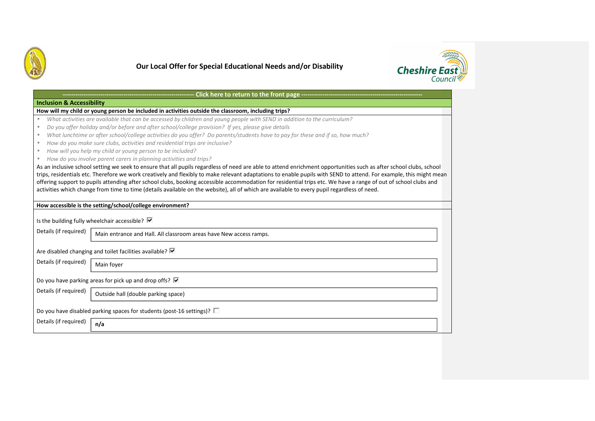



### **---------------------------------------------------------------Click here to return to the front page ---Inclusion & Accessibility How will my child or young person be included in activities outside the classroom, including trips?**  • *What activities are available that can be accessed by children and young people with SEND in addition to the curriculum?*  • *Do you offer holiday and/or before and after school/college provision? If yes, please give details*  • *What lunchtime or after school/college activities do you offer? Do parents/students have to pay for these and if so, how much?*  • *How do you make sure clubs, activities and residential trips are inclusive?*  • *How will you help my child or young person to be included?*  • *How do you involve parent carers in planning activities and trips?*  As an inclusive school setting we seek to ensure that all pupils regardless of need are able to attend enrichment opportunities such as after school clubs, school trips, residentials etc. Therefore we work creatively and flexibly to make relevant adaptations to enable pupils with SEND to attend. For example, this might mean offering support to pupils attending after school clubs, booking accessible accommodation for residential trips etc. We have a range of out of school clubs and activities which change from time to time (details available on the website), all of which are available to every pupil regardless of need. **How accessible is the setting/school/college environment?** Is the building fully wheelchair accessible?  $\overline{\triangledown}$ Details (if required) Are disabled changing and toilet facilities available?  $\overline{\nabla}$ Details (if required) Do you have parking areas for pick up and drop offs?  $\overline{\triangledown}$ Details (if required) Do you have disabled parking spaces for students (post-16 settings)?  $\square$ Details (if required) Main entrance and Hall. All classroom areas have New access ramps. Main foyer Outside hall (double parking space) **n/a**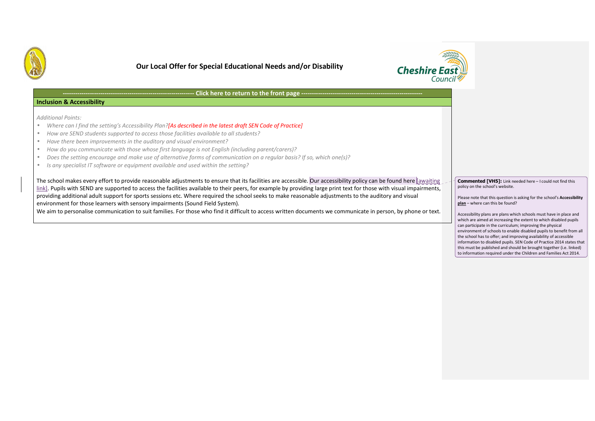



#### **---------------------------------------------------------------Click here to return to the front page ---**

### **Inclusion & Accessibility**

*Additional Points:* 

- •*Where can I find the setting's Accessibility Plan?[As described in the latest draft SEN Code of Practice]*
- •*How are SEND students supported to access those facilities available to all students?*
- •*Have there been improvements in the auditory and visual environment?*
- •*How do you communicate with those whose first language is not English (including parent/carers)?*
- •*Does the setting encourage and make use of alternative forms of communication on a regular basis? If so, which one(s)?*
- •*Is any specialist IT software or equipment available and used within the setting?*

The school makes every effort to provide reasonable adjustments to ensure that its facilities are accessible. Our accessibility policy can be found here [awaiting link]. Pupils with SEND are supported to access the facilities available to their peers, for example by providing large print text for those with visual impairments, providing additional adult support for sports sessions etc. Where required the school seeks to make reasonable adjustments to the auditory and visual environment for those learners with sensory impairments (Sound Field System).

We aim to personalise communication to suit families. For those who find it difficult to access written documents we communicate in person, by phone or text.

**Commented [VH5]:** Link needed here – I could not find this policy on the school's website.

Please note that this question is asking for the school's **Accessibility plan** – where can this be found?

Accessibility plans are plans which schools must have in place and which are aimed at increasing the extent to which disabled pupils can participate in the curriculum; improving the physical environment of schools to enable disabled pupils to benefit from all the school has to offer; and improving availability of accessible information to disabled pupils. SEN Code of Practice 2014 states that this must be published and should be brought together (i.e. linked) to information required under the Children and Families Act 2014.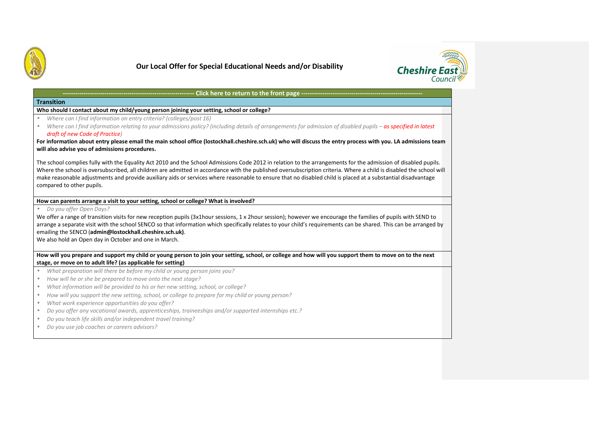



### **---------------------------------------------------------------Click here to return to the front page --Transition Who should I contact about my child/young person joining your setting, school or college?**• *Where can I find information on entry criteria? (colleges/post 16)*  •*Where can I find information relating to your admissions policy? (including details of arrangements for admission of disabled pupils – as specified in latest draft of new Code of Practice)* **For information about entry please email the main school office (lostockhall.cheshire.sch.uk) who will discuss the entry process with you. LA admissions team will also advise you of admissions procedures.** The school complies fully with the Equality Act 2010 and the School Admissions Code 2012 in relation to the arrangements for the admission of disabled pupils. Where the school is oversubscribed, all children are admitted in accordance with the published oversubscription criteria. Where a child is disabled the school will make reasonable adjustments and provide auxiliary aids or services where reasonable to ensure that no disabled child is placed at a substantial disadvantage compared to other pupils. **How can parents arrange a visit to your setting, school or college? What is involved?** • *Do you offer Open Days?*  We offer a range of transition visits for new reception pupils (3x1hour sessions, 1 x 2hour session); however we encourage the families of pupils with SEND to arrange a separate visit with the school SENCO so that information which specifically relates to your child's requirements can be shared. This can be arranged by emailing the SENCO (**admin@lostockhall.cheshire.sch.uk)**. We also hold an Open day in October and one in March. **How will you prepare and support my child or young person to join your setting, school, or college and how will you support them to move on to the next stage, or move on to adult life? (as applicable for setting)** • *What preparation will there be before my child or young person joins you?*  • *How will he or she be prepared to move onto the next stage?*  • *What information will be provided to his or her new setting, school, or college?*  • *How will you support the new setting, school, or college to prepare for my child or young person?*  • *What work experience opportunities do you offer?*  • *Do you offer any vocational awards, apprenticeships, traineeships and/or supported internships etc.?*  • *Do you teach life skills and/or independent travel training?*  •*Do you use job coaches or careers advisors?*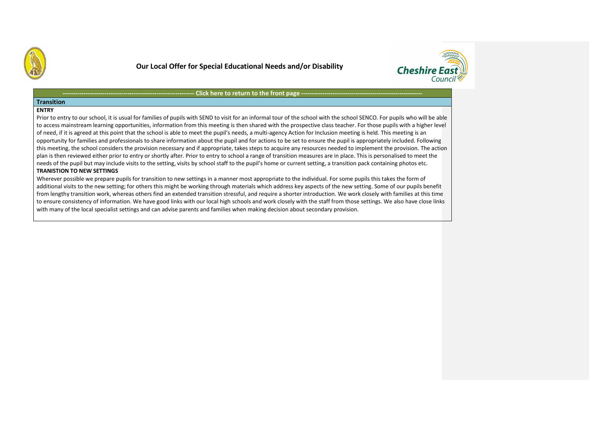



### **Click here to return to the front page ---**

### **Transition**

### **ENTRY**

Prior to entry to our school, it is usual for families of pupils with SEND to visit for an informal tour of the school with the school SENCO. For pupils who will be able to access mainstream learning opportunities, information from this meeting is then shared with the prospective class teacher. For those pupils with a higher level of need, if it is agreed at this point that the school is able to meet the pupil's needs, a multi-agency Action for Inclusion meeting is held. This meeting is an opportunity for families and professionals to share information about the pupil and for actions to be set to ensure the pupil is appropriately included. Following this meeting, the school considers the provision necessary and if appropriate, takes steps to acquire any resources needed to implement the provision. The action plan is then reviewed either prior to entry or shortly after. Prior to entry to school a range of transition measures are in place. This is personalised to meet the needs of the pupil but may include visits to the setting, visits by school staff to the pupil's home or current setting, a transition pack containing photos etc.

### **TRANISTION TO NEW SETTINGS**

**---------------------------------------------------------------**

Wherever possible we prepare pupils for transition to new settings in a manner most appropriate to the individual. For some pupils this takes the form of additional visits to the new setting; for others this might be working through materials which address key aspects of the new setting. Some of our pupils benefit from lengthy transition work, whereas others find an extended transition stressful, and require a shorter introduction. We work closely with families at this time to ensure consistency of information. We have good links with our local high schools and work closely with the staff from those settings. We also have close links with many of the local specialist settings and can advise parents and families when making decision about secondary provision.